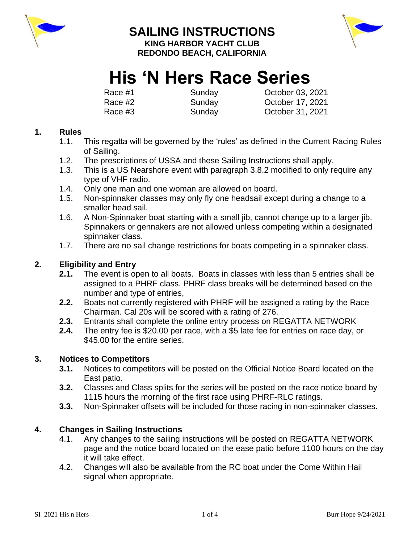

# **SAILING INSTRUCTIONS**



**KING HARBOR YACHT CLUB REDONDO BEACH, CALIFORNIA**

# **His 'N Hers Race Series**

Race #1 Sunday Cotober 03, 2021 Race #2 Sunday October 17, 2021 Race #3 Sunday October 31, 2021

# **1. Rules**

- 1.1. This regatta will be governed by the 'rules' as defined in the Current Racing Rules of Sailing.
- 1.2. The prescriptions of USSA and these Sailing Instructions shall apply.
- 1.3. This is a US Nearshore event with paragraph 3.8.2 modified to only require any type of VHF radio.
- 1.4. Only one man and one woman are allowed on board.
- 1.5. Non-spinnaker classes may only fly one headsail except during a change to a smaller head sail.
- 1.6. A Non-Spinnaker boat starting with a small jib, cannot change up to a larger jib. Spinnakers or gennakers are not allowed unless competing within a designated spinnaker class.
- 1.7. There are no sail change restrictions for boats competing in a spinnaker class.

# **2. Eligibility and Entry**

- **2.1.** The event is open to all boats. Boats in classes with less than 5 entries shall be assigned to a PHRF class. PHRF class breaks will be determined based on the number and type of entries,
- **2.2.** Boats not currently registered with PHRF will be assigned a rating by the Race Chairman. Cal 20s will be scored with a rating of 276.
- **2.3.** Entrants shall complete the online entry process on REGATTA NETWORK
- **2.4.** The entry fee is \$20.00 per race, with a \$5 late fee for entries on race day, or \$45.00 for the entire series.

# **3. Notices to Competitors**

- **3.1.** Notices to competitors will be posted on the Official Notice Board located on the East patio.
- **3.2.** Classes and Class splits for the series will be posted on the race notice board by 1115 hours the morning of the first race using PHRF-RLC ratings.
- **3.3.** Non-Spinnaker offsets will be included for those racing in non-spinnaker classes.

# **4. Changes in Sailing Instructions**

- 4.1. Any changes to the sailing instructions will be posted on REGATTA NETWORK page and the notice board located on the ease patio before 1100 hours on the day it will take effect.
- 4.2. Changes will also be available from the RC boat under the Come Within Hail signal when appropriate.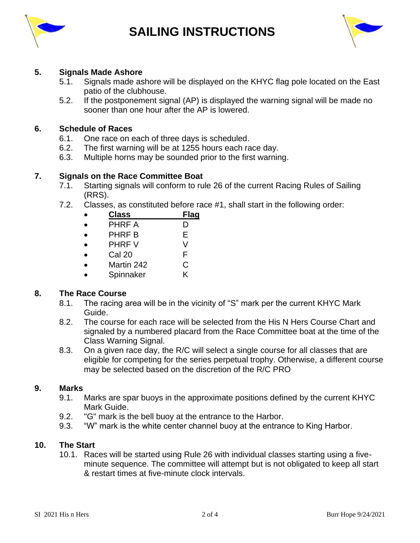

# **SAILING INSTRUCTIONS**



#### **5. Signals Made Ashore**

- 5.1. Signals made ashore will be displayed on the KHYC flag pole located on the East patio of the clubhouse.
- 5.2. If the postponement signal (AP) is displayed the warning signal will be made no sooner than one hour after the AP is lowered.

#### **6. Schedule of Races**

- 6.1. One race on each of three days is scheduled.
- 6.2. The first warning will be at 1255 hours each race day.
- 6.3. Multiple horns may be sounded prior to the first warning.

#### **7. Signals on the Race Committee Boat**

- 7.1. Starting signals will conform to rule 26 of the current Racing Rules of Sailing (RRS).
- 7.2. Classes, as constituted before race #1, shall start in the following order:

| <b>Class</b>  | <b>Flag</b> |
|---------------|-------------|
| <b>PHRF A</b> | I)          |
| <b>PHRF B</b> | Е           |
| <b>PHRF V</b> | V           |
| Cal 20        | F           |
| Martin 242    | C           |

• Spinnaker K

#### **8. The Race Course**

- 8.1. The racing area will be in the vicinity of "S" mark per the current KHYC Mark Guide.
- 8.2. The course for each race will be selected from the His N Hers Course Chart and signaled by a numbered placard from the Race Committee boat at the time of the Class Warning Signal.
- 8.3. On a given race day, the R/C will select a single course for all classes that are eligible for competing for the series perpetual trophy. Otherwise, a different course may be selected based on the discretion of the R/C PRO

#### **9. Marks**

- 9.1. Marks are spar buoys in the approximate positions defined by the current KHYC Mark Guide.
- 9.2. "G" mark is the bell buoy at the entrance to the Harbor.
- 9.3. "W" mark is the white center channel buoy at the entrance to King Harbor.

#### **10. The Start**

10.1. Races will be started using Rule 26 with individual classes starting using a fiveminute sequence. The committee will attempt but is not obligated to keep all start & restart times at five-minute clock intervals.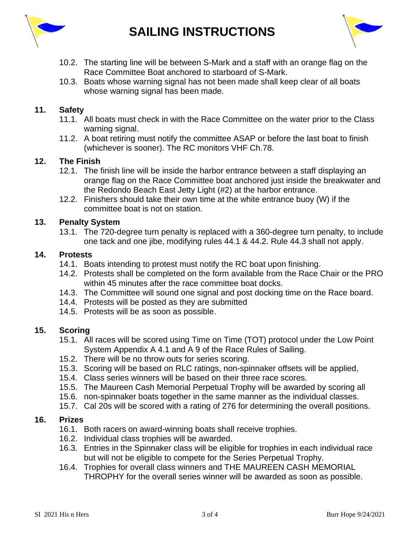

- 10.2. The starting line will be between S-Mark and a staff with an orange flag on the Race Committee Boat anchored to starboard of S-Mark.
- 10.3. Boats whose warning signal has not been made shall keep clear of all boats whose warning signal has been made.

#### **11. Safety**

- 11.1. All boats must check in with the Race Committee on the water prior to the Class warning signal.
- 11.2. A boat retiring must notify the committee ASAP or before the last boat to finish (whichever is sooner). The RC monitors VHF Ch.78.

#### **12. The Finish**

- 12.1. The finish line will be inside the harbor entrance between a staff displaying an orange flag on the Race Committee boat anchored just inside the breakwater and the Redondo Beach East Jetty Light (#2) at the harbor entrance.
- 12.2. Finishers should take their own time at the white entrance buoy (W) if the committee boat is not on station.

#### **13. Penalty System**

13.1. The 720-degree turn penalty is replaced with a 360-degree turn penalty, to include one tack and one jibe, modifying rules 44.1 & 44.2. Rule 44.3 shall not apply.

#### **14. Protests**

- 14.1. Boats intending to protest must notify the RC boat upon finishing.
- 14.2. Protests shall be completed on the form available from the Race Chair or the PRO within 45 minutes after the race committee boat docks.
- 14.3. The Committee will sound one signal and post docking time on the Race board.
- 14.4. Protests will be posted as they are submitted
- 14.5. Protests will be as soon as possible.

### **15. Scoring**

- 15.1. All races will be scored using Time on Time (TOT) protocol under the Low Point System Appendix A 4.1 and A 9 of the Race Rules of Sailing.
- 15.2. There will be no throw outs for series scoring.
- 15.3. Scoring will be based on RLC ratings, non-spinnaker offsets will be applied,
- 15.4. Class series winners will be based on their three race scores.
- 15.5. The Maureen Cash Memorial Perpetual Trophy will be awarded by scoring all
- 15.6. non-spinnaker boats together in the same manner as the individual classes.
- 15.7. Cal 20s will be scored with a rating of 276 for determining the overall positions.

#### **16. Prizes**

- 16.1. Both racers on award-winning boats shall receive trophies.
- 16.2. Individual class trophies will be awarded.
- 16.3. Entries in the Spinnaker class will be eligible for trophies in each individual race but will not be eligible to compete for the Series Perpetual Trophy.
- 16.4. Trophies for overall class winners and THE MAUREEN CASH MEMORIAL THROPHY for the overall series winner will be awarded as soon as possible.